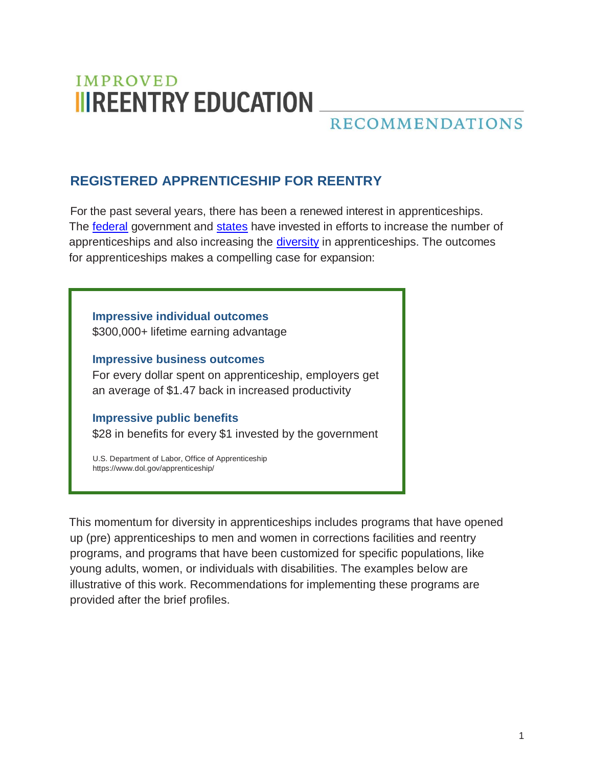# **IMPROVED IIIREENTRY EDUCATION**

## **RECOMMENDATIONS**

## **REGISTERED APPRENTICESHIP FOR REENTRY**

For the past several years, there has been a renewed interest in apprenticeships. The [federal](https://www.dol.gov/apprenticeship/toolkit.htm) government and [states](https://www.americanprogress.org/issues/economy/reports/2016/02/09/130750/how-states-are-expanding-apprenticeship/) have invested in efforts to increase the number of apprenticeships and also increasing the [diversity](https://blog.dol.gov/2016/12/19/a-business-owner-on-the-importance-of-diversity-in-apprenticeship) in apprenticeships. The outcomes for apprenticeships makes a compelling case for expansion:

**Impressive individual outcomes** \$300,000+ lifetime earning advantage

**Impressive business outcomes** For every dollar spent on apprenticeship, employers get an average of \$1.47 back in increased productivity

**Impressive public benefits** \$28 in benefits for every \$1 invested by the government

U.S. Department of Labor, Office of Apprenticeship https:/[/www.dol.gov/apprenticeship/](http://www.dol.gov/apprenticeship/)

This momentum for diversity in apprenticeships includes programs that have opened up (pre) apprenticeships to men and women in corrections facilities and reentry programs, and programs that have been customized for specific populations, like young adults, women, or individuals with disabilities. The examples below are illustrative of this work. Recommendations for implementing these programs are provided after the brief profiles.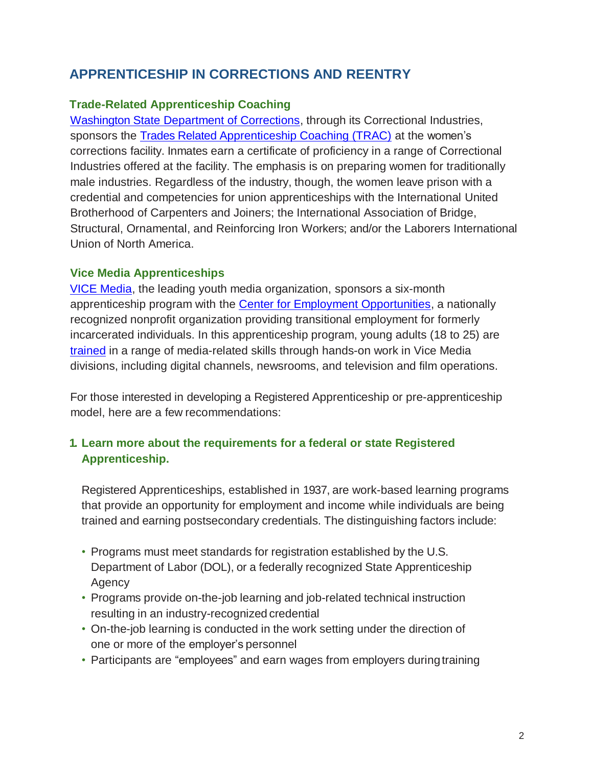## **APPRENTICESHIP IN CORRECTIONS AND REENTRY**

#### **Trade-Related Apprenticeship Coaching**

[Washington State Department of Corrections,](http://www.doc.wa.gov/corrections/programs/correctional-industries.htm) through its Correctional Industries, sponsors the [Trades Related Apprenticeship Coaching \(TRAC\)](https://www.washingtonci.com/skin/frontend/WACI/primary/docs/content/about-ci/trac-program-brochure.pdf) at the women's corrections facility. Inmates earn a certificate of proficiency in a range of Correctional Industries offered at the facility. The emphasis is on preparing women for traditionally male industries. Regardless of the industry, though, the women leave prison with a credential and competencies for union apprenticeships with the International United Brotherhood of Carpenters and Joiners; the International Association of Bridge, Structural, Ornamental, and Reinforcing Iron Workers; and/or the Laborers International Union of North America.

#### **Vice Media Apprenticeships**

[VICE Media,](https://www.vice.com/en_us) the leading youth media organization, sponsors a six-month apprenticeship program with the [Center for Employment Opportunities,](https://ceoworks.org/) a nationally recognized nonprofit organization providing transitional employment for formerly incarcerated individuals. In this apprenticeship program, young adults (18 to 25) are [trained](https://ceoworks.org/vice-center-employment-opportunities-announce-six-month-apprentice-program-employ-formerly-incarcerated-people-vice/) in a range of media-related skills through hands-on work in Vice Media divisions, including digital channels, newsrooms, and television and film operations.

For those interested in developing a Registered Apprenticeship or pre-apprenticeship model, here are a few recommendations:

#### **1. Learn more about the requirements for a federal or state Registered Apprenticeship.**

Registered Apprenticeships, established in 1937, are work-based learning programs that provide an opportunity for employment and income while individuals are being trained and earning postsecondary credentials. The distinguishing factors include:

- Programs must meet standards for registration established by the U.S. Department of Labor (DOL), or a federally recognized State Apprenticeship **Agency**
- Programs provide on-the-job learning and job-related technical instruction resulting in an industry-recognized credential
- On-the-job learning is conducted in the work setting under the direction of one or more of the employer's personnel
- Participants are "employees" and earn wages from employers during training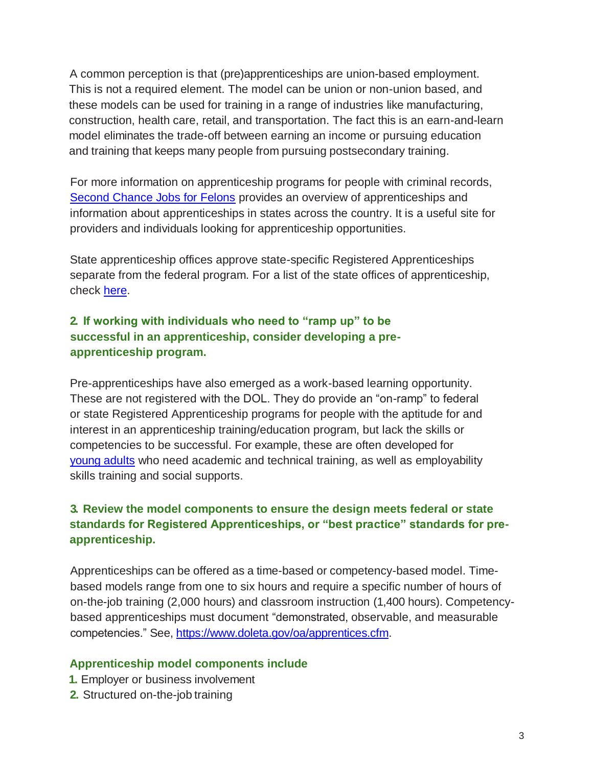A common perception is that (pre)apprenticeships are union-based employment. This is not a required element. The model can be union or non-union based, and these models can be used for training in a range of industries like manufacturing, construction, health care, retail, and transportation. The fact this is an earn-and-learn model eliminates the trade-off between earning an income or pursuing education and training that keeps many people from pursuing postsecondary training.

For more information on apprenticeship programs for people with criminal records, [Second Chance Jobs for Felons](https://secondchancejobsforfelons.com/apprenticeship-programs) provides an overview of apprenticeships and information about apprenticeships in states across the country. It is a useful site for providers and individuals looking for apprenticeship opportunities.

State apprenticeship offices approve state-specific Registered Apprenticeships separate from the federal program. For a list of the state offices of apprenticeship, check [here.](https://www.doleta.gov/OA/contactlist.cfm)

#### **2. If working with individuals who need to "ramp up" to be successful in an apprenticeship, consider developing a preapprenticeship program.**

Pre-apprenticeships have also emerged as a work-based learning opportunity. These are not registered with the DOL. They do provide an "on-ramp" to federal or state Registered Apprenticeship programs for people with the aptitude for and interest in an apprenticeship training/education program, but lack the skills or competencies to be successful. For example, these are often developed for [young adults](https://www.newamerica.org/education-policy/edcentral/down-not-out-cte-and-apprenticeship-youth-justice-system/) who need academic and technical training, as well as employability skills training and social supports.

#### **3. Review the model components to ensure the design meets federal or state standards for Registered Apprenticeships, or "best practice" standards for preapprenticeship.**

Apprenticeships can be offered as a time-based or competency-based model. Timebased models range from one to six hours and require a specific number of hours of on-the-job training (2,000 hours) and classroom instruction (1,400 hours). Competencybased apprenticeships must document "demonstrated, observable, and measurable competencies." See, [https://www.doleta.gov/oa/apprentices.cfm.](https://www.doleta.gov/oa/apprentices.cfm)

#### **Apprenticeship model components include**

- **1.** Employer or business involvement
- **2.** Structured on-the-job training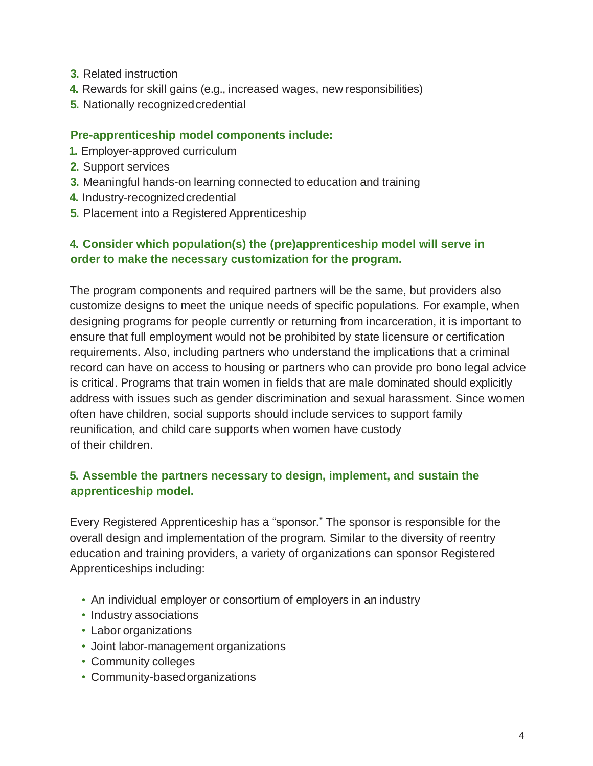- **3.** Related instruction
- **4.** Rewards for skill gains (e.g., increased wages, new responsibilities)
- **5.** Nationally recognized credential

#### **Pre-apprenticeship model components include:**

- **1.** Employer-approved curriculum
- **2.** Support services
- **3.** Meaningful hands-on learning connected to education and training
- **4.** Industry-recognized credential
- **5.** Placement into a Registered Apprenticeship

#### **4. Consider which population(s) the (pre)apprenticeship model will serve in order to make the necessary customization for the program.**

The program components and required partners will be the same, but providers also customize designs to meet the unique needs of specific populations. For example, when designing programs for people currently or returning from incarceration, it is important to ensure that full employment would not be prohibited by state licensure or certification requirements. Also, including partners who understand the implications that a criminal record can have on access to housing or partners who can provide pro bono legal advice is critical. Programs that train women in fields that are male dominated should explicitly address with issues such as gender discrimination and sexual harassment. Since women often have children, social supports should include services to support family reunification, and child care supports when women have custody of their children.

#### **5. Assemble the partners necessary to design, implement, and sustain the apprenticeship model.**

Every Registered Apprenticeship has a "sponsor." The sponsor is responsible for the overall design and implementation of the program. Similar to the diversity of reentry education and training providers, a variety of organizations can sponsor Registered Apprenticeships including:

- An individual employer or consortium of employers in an industry
- Industry associations
- Labor organizations
- Joint labor-management organizations
- Community colleges
- Community-based organizations